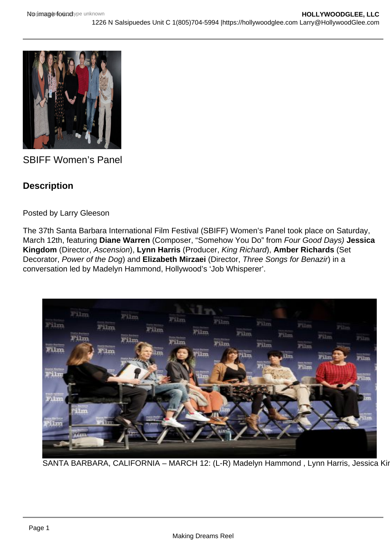## SBIFF Women's Panel

**Description** 

Posted by Larry Gleeson

The 37th Santa Barbara International Film Festival (SBIFF) Women's Panel took place on Saturday, March 12th, featuring Diane Warren (Composer, "Somehow You Do" from Four Good Days) Jessica Kingdom (Director, Ascension), Lynn Harris (Producer, King Richard), Amber Richards (Set Decorator, Power of the Dog) and Elizabeth Mirzaei (Director, Three Songs for Benazir) in a conversation led by Madelyn Hammond, Hollywood's 'Job Whisperer'.

SANTA BARBARA, CALIFORNIA - MARCH 12: (L-R) Madelyn Hammond, Lynn Harris, Jessica Kir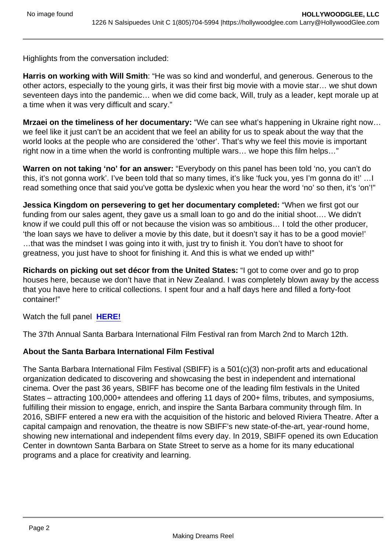Highlights from the conversation included:

Harris on working with Will Smith : "He was so kind and wonderful, and generous. Generous to the other actors, especially to the young girls, it was their first big movie with a movie star… we shut down seventeen days into the pandemic… when we did come back, Will, truly as a leader, kept morale up at a time when it was very difficult and scary."

Mrzaei on the timeliness of her documentary: "We can see what's happening in Ukraine right now... we feel like it just can't be an accident that we feel an ability for us to speak about the way that the world looks at the people who are considered the 'other'. That's why we feel this movie is important right now in a time when the world is confronting multiple wars… we hope this film helps…"

Warren on not taking 'no' for an answer: "Everybody on this panel has been told 'no, you can't do this, it's not gonna work'. I've been told that so many times, it's like 'fuck you, yes I'm gonna do it!' …I read something once that said you've gotta be dyslexic when you hear the word 'no' so then, it's 'on'!"

Jessica Kingdom on persevering to get her documentary completed: "When we first got our funding from our sales agent, they gave us a small loan to go and do the initial shoot…. We didn't know if we could pull this off or not because the vision was so ambitious… I told the other producer, 'the loan says we have to deliver a movie by this date, but it doesn't say it has to be a good movie!' …that was the mindset I was going into it with, just try to finish it. You don't have to shoot for greatness, you just have to shoot for finishing it. And this is what we ended up with!"

Richards on picking out set décor from the United States: "I got to come over and go to prop houses here, because we don't have that in New Zealand. I was completely blown away by the access that you have here to critical collections. I spent four and a half days here and filled a forty-foot container!"

Watch the full panel [HERE!](https://www.youtube.com/watch?v=ITWXqjiXfjA)

The 37th Annual Santa Barbara International Film Festival ran from March 2nd to March 12th.

About the Santa Barbara International Film Festival

The Santa Barbara International Film Festival (SBIFF) is a 501(c)(3) non-profit arts and educational organization dedicated to discovering and showcasing the best in independent and international cinema. Over the past 36 years, SBIFF has become one of the leading film festivals in the United States – attracting 100,000+ attendees and offering 11 days of 200+ films, tributes, and symposiums, fulfilling their mission to engage, enrich, and inspire the Santa Barbara community through film. In 2016, SBIFF entered a new era with the acquisition of the historic and beloved Riviera Theatre. After a capital campaign and renovation, the theatre is now SBIFF's new state-of-the-art, year-round home, showing new international and independent films every day. In 2019, SBIFF opened its own Education Center in downtown Santa Barbara on State Street to serve as a home for its many educational programs and a place for creativity and learning.